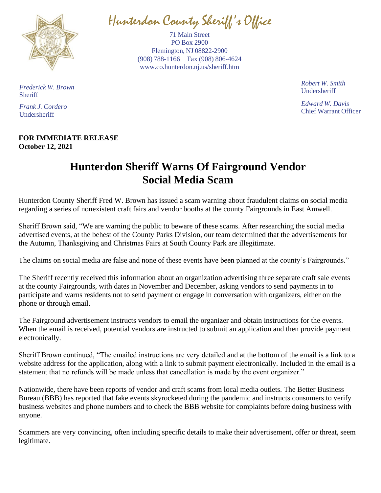

Hunterdon County Sheriff' s Office

71 Main Street PO Box 2900 Flemington, NJ 08822-2900 (908) 788-1166 Fax (908) 806-4624 [www.co.hunterdon.nj.us/sheriff.htm](http://www.co.hunterdon.nj.us/sheriff.htm)

> *Robert W. Smith* Undersheriff

*Edward W. Davis* Chief Warrant Officer

*Frederick W. Brown* **Sheriff** 

*Frank J. Cordero* Undersheriff

## **FOR IMMEDIATE RELEASE October 12, 2021**

## **Hunterdon Sheriff Warns Of Fairground Vendor Social Media Scam**

Hunterdon County Sheriff Fred W. Brown has issued a scam warning about fraudulent claims on social media regarding a series of nonexistent craft fairs and vendor booths at the county Fairgrounds in East Amwell.

Sheriff Brown said, "We are warning the public to beware of these scams. After researching the social media advertised events, at the behest of the County Parks Division, our team determined that the advertisements for the Autumn, Thanksgiving and Christmas Fairs at South County Park are illegitimate.

The claims on social media are false and none of these events have been planned at the county's Fairgrounds."

The Sheriff recently received this information about an organization advertising three separate craft sale events at the county Fairgrounds, with dates in November and December, asking vendors to send payments in to participate and warns residents not to send payment or engage in conversation with organizers, either on the phone or through email.

The Fairground advertisement instructs vendors to email the organizer and obtain instructions for the events. When the email is received, potential vendors are instructed to submit an application and then provide payment electronically.

Sheriff Brown continued, "The emailed instructions are very detailed and at the bottom of the email is a link to a website address for the application, along with a link to submit payment electronically. Included in the email is a statement that no refunds will be made unless that cancellation is made by the event organizer."

Nationwide, there have been reports of vendor and craft scams from local media outlets. The Better Business Bureau (BBB) has reported that fake events skyrocketed during the pandemic and instructs consumers to verify business websites and phone numbers and to check the BBB website for complaints before doing business with anyone.

Scammers are very convincing, often including specific details to make their advertisement, offer or threat, seem legitimate.